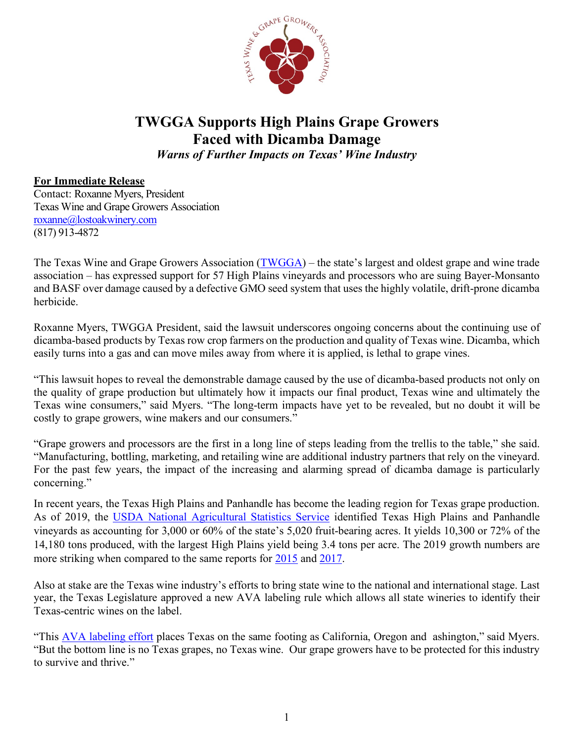

## **TWGGA Supports High Plains Grape Growers Faced with Dicamba Damage**

*Warns of Further Impacts on Texas' Wine Industry*

## **For Immediate Release**

Contact: Roxanne Myers, President Texas Wine and Grape Growers Association [roxanne@lostoakwinery.com](mailto:roxanne@lostoakwinery.com)  (817) 913-4872

The Texas Wine and Grape Growers Association [\(TWGGA\)](https://www.txwines.org/) – the state's largest and oldest grape and wine trade association – has expressed support for 57 High Plains vineyards and processors who are suing Bayer-Monsanto and BASF over damage caused by a defective GMO seed system that uses the highly volatile, drift-prone dicamba herbicide.

Roxanne Myers, TWGGA President, said the lawsuit underscores ongoing concerns about the continuing use of dicamba-based products by Texas row crop farmers on the production and quality of Texas wine. Dicamba, which easily turns into a gas and can move miles away from where it is applied, is lethal to grape vines.

"This lawsuit hopes to reveal the demonstrable damage caused by the use of dicamba-based products not only on the quality of grape production but ultimately how it impacts our final product, Texas wine and ultimately the Texas wine consumers," said Myers. "The long-term impacts have yet to be revealed, but no doubt it will be costly to grape growers, wine makers and our consumers."

"Grape growers and processors are the first in a long line of steps leading from the trellis to the table," she said. "Manufacturing, bottling, marketing, and retailing wine are additional industry partners that rely on the vineyard. For the past few years, the impact of the increasing and alarming spread of dicamba damage is particularly concerning."

In recent years, the Texas High Plains and Panhandle has become the leading region for Texas grape production. As of 2019, the [USDA National Agricultural Statistics Service](https://www.txwines.org/wp-content/uploads/2021/05/USDA-2019-Texas-Wine-Report.pdf) identified Texas High Plains and Panhandle vineyards as accounting for 3,000 or 60% of the state's 5,020 fruit-bearing acres. It yields 10,300 or 72% of the 14,180 tons produced, with the largest High Plains yield being 3.4 tons per acre. The 2019 growth numbers are more striking when compared to the same reports for [2015](https://www.txwines.org/wp-content/uploads/2021/06/USDA-2015-Texas-Wine-Report.pdf) and [2017.](https://www.txwines.org/wp-content/uploads/2021/06/USDA-2017-Texas-Wine-Report.pdf)

Also at stake are the Texas wine industry's efforts to bring state wine to the national and international stage. Last year, the Texas Legislature approved a new AVA labeling rule which allows all state wineries to identify their Texas-centric wines on the label.

"This [AVA labeling effort](https://www.txwines.org/wp-content/uploads/2021/06/Consensus-Amidst-the-Texas-Wine-Industry-3-10-21.pdf) places Texas on the same footing as California, Oregon and ashington," said Myers. "But the bottom line is no Texas grapes, no Texas wine. Our grape growers have to be protected for this industry to survive and thrive."